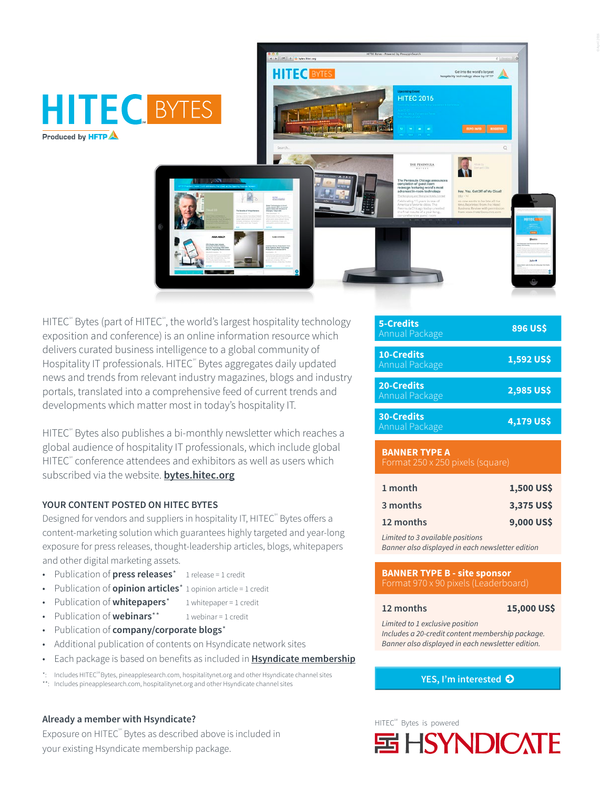

HITEC<sup>®</sup> Bytes (part of HITEC<sup>®</sup>, the world's largest hospitality technology exposition and conference) is an online information resource which delivers curated business intelligence to a global community of Hospitality IT professionals. HITEC<sup>®</sup> Bytes aggregates daily updated news and trends from relevant industry magazines, blogs and industry portals, translated into a comprehensive feed of current trends and developments which matter most in today's hospitality IT.

HITEC<sup>®</sup> Bytes also publishes a bi-monthly newsletter which reaches a global audience of hospitality IT professionals, which include global HITEC<sup>®</sup> conference attendees and exhibitors as well as users which subscribed via the website. **[bytes.hitec.org](http://bytes.hitec.org)**

## **YOUR CONTENT POSTED ON HITEC BYTES**

Designed for vendors and suppliers in hospitality IT, HITEC<sup>®</sup> Bytes offers a content-marketing solution which guarantees highly targeted and year-long exposure for press releases, thought-leadership articles, blogs, whitepapers and other digital marketing assets.

- Publication of **press releases**\* 1 release = 1 credit
- Publication of **opinion articles**\* 1 opinion article = 1 credit
- Publication of **whitepapers**<sup>\*</sup> 1 whitepaper = 1 credit
- Publication of **webinars**<sup>\*\*</sup> 1 webinar = 1 credit
- Publication of **company/corporate blogs**\*
- Additional publication of contents on Hsyndicate network sites
- Each package is based on benefits as included in **[Hsyndicate membership](http://www.hsyndicate.org)**

Includes HITEC<sup>SM</sup> Bytes, pineapplesearch.com, hospitalitynet.org and other Hsyndicate channel sites

\*\*: Includes pineapplesearch.com, hospitalitynet.org and other Hsyndicate channel sites

## **Already a member with Hsyndicate?**

Exposure on HITEC<sup>®</sup> Bytes as described above is included in your existing Hsyndicate membership package.

| <b>5-Credits</b><br>Annual Package  | <b>896 US\$</b> |
|-------------------------------------|-----------------|
| <b>10-Credits</b><br>Annual Package | 1,592 US\$      |
| <b>20-Credits</b><br>Annual Package | 2,985 US\$      |
| <b>30-Credits</b><br>Annual Package | 4,179 US\$      |

## **BANNER TYPE A** Format 250 x 250 pixels (square)

| 1 month   | 1,500 US\$ |
|-----------|------------|
| 3 months  | 3,375 US\$ |
| 12 months | 9,000 US\$ |

*Limited to 3 available positions Banner also displayed in each newsletter edition*

## **BANNER TYPE B - site sponsor** Format 970 x 90 pixels (Leaderboard)

## **12 months 15,000 US\$**

*Limited to 1 exclusive position Includes a 20-credit content membership package. Banner also displayed in each newsletter edition.*

**[YES, I'm interested](mailto:sales%40hftp.org%3Bcs%40hsyndicate.org?subject=Interested%20in%20HITEC%20BYTES)** 

# HITEC<sup>SM</sup> Bytes is powered